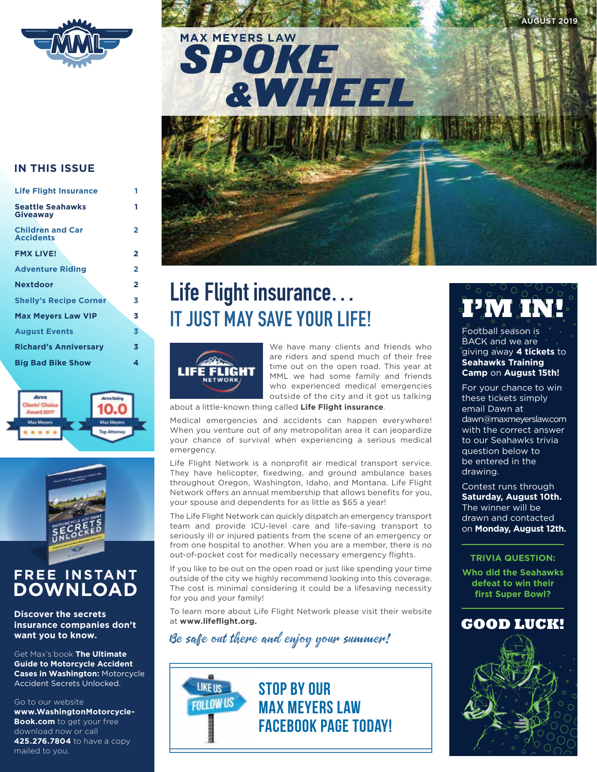

**AUGUST 2019**

# SPOKE &WHEEL **MAX MEYERS LAW**

### **IN THIS ISSUE**

| <b>Life Flight Insurance</b>                |
|---------------------------------------------|
| <b>Seattle Seahawks</b><br><b>Giveaway</b>  |
| <b>Children and Car</b><br><b>Accidents</b> |
| <b>FMX LIVE!</b>                            |
| <b>Adventure Riding</b>                     |
| <b>Nextdoor</b>                             |
| <b>Shelly's Recipe Corner</b>               |
| <b>Max Mevers Law VIP</b>                   |
| <b>August Events</b>                        |
| <b>Richard's Anniversary</b>                |
| <b>Big Bad Bike Show</b>                    |

**1 1**

**2**





### **FREE INSTANT DOWNLOAD**

**Discover the secrets insurance companies don't want you to know.** 

Get Max's book **The Ultimate Guide to Motorcycle Accident Cases in Washington:** Motorcycle Accident Secrets Unlocked.

Go to our website

**www.WashingtonMotorcycle-Book.com** to get your free download now or call **425.276.7804** to have a copy mailed to you.

# **Life Flight insurance… IT JUST MAY SAVE YOUR LIFE!**



We have many clients and friends who are riders and spend much of their free time out on the open road. This year at MML we had some family and friends who experienced medical emergencies outside of the city and it got us talking

about a little-known thing called **Life Flight insurance**.

Medical emergencies and accidents can happen everywhere! When you venture out of any metropolitan area it can jeopardize your chance of survival when experiencing a serious medical emergency.

Life Flight Network is a nonprofit air medical transport service. They have helicopter, fixedwing, and ground ambulance bases throughout Oregon, Washington, Idaho, and Montana. Life Flight Network offers an annual membership that allows benefits for you, your spouse and dependents for as little as \$65 a year!

The Life Flight Network can quickly dispatch an emergency transport team and provide ICU-level care and life-saving transport to seriously ill or injured patients from the scene of an emergency or from one hospital to another. When you are a member, there is no out-of-pocket cost for medically necessary emergency flights.

If you like to be out on the open road or just like spending your time outside of the city we highly recommend looking into this coverage. The cost is minimal considering it could be a lifesaving necessity for you and your family!

To learn more about Life Flight Network please visit their website at **www.lifeflight.org.**

### Be safe out there and enjoy your summer!



# **I'M IN!**

Football season is BACK and we are giving away **4 tickets** to **Seahawks Training Camp** on **August 15th!**

For your chance to win these tickets simply email Dawn at dawn@maxmeyerslaw.com with the correct answer to our Seahawks trivia question below to be entered in the drawing.

Contest runs through **Saturday, August 10th.**  The winner will be drawn and contacted on **Monday, August 12th.**

### **TRIVIA QUESTION:**

**Who did the Seahawks defeat to win their first Super Bowl?**



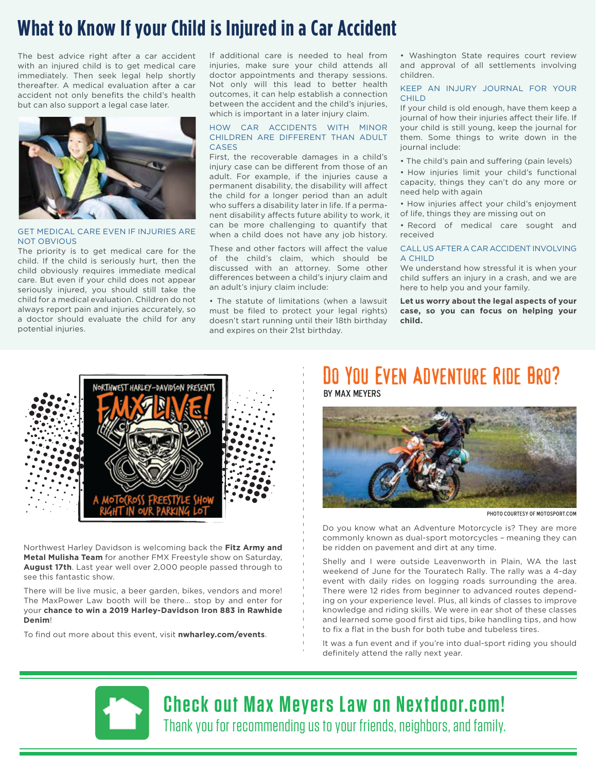## **What to Know If your Child is Injured in a Car Accident**

The best advice right after a car accident with an injured child is to get medical care immediately. Then seek legal help shortly thereafter. A medical evaluation after a car accident not only benefits the child's health but can also support a legal case later.



### GET MEDICAL CARE EVEN IF INJURIES ARE NOT OBVIOUS

The priority is to get medical care for the child. If the child is seriously hurt, then the child obviously requires immediate medical care. But even if your child does not appear seriously injured, you should still take the child for a medical evaluation. Children do not always report pain and injuries accurately, so a doctor should evaluate the child for any potential injuries.

If additional care is needed to heal from injuries, make sure your child attends all doctor appointments and therapy sessions. Not only will this lead to better health outcomes, it can help establish a connection between the accident and the child's injuries, which is important in a later injury claim.

### HOW CAR ACCIDENTS WITH MINOR CHILDREN ARE DIFFERENT THAN ADULT **CASES**

First, the recoverable damages in a child's injury case can be different from those of an adult. For example, if the injuries cause a permanent disability, the disability will affect the child for a longer period than an adult who suffers a disability later in life. If a permanent disability affects future ability to work, it can be more challenging to quantify that when a child does not have any job history.

These and other factors will affect the value of the child's claim, which should be discussed with an attorney. Some other differences between a child's injury claim and an adult's injury claim include:

• The statute of limitations (when a lawsuit must be filed to protect your legal rights) doesn't start running until their 18th birthday and expires on their 21st birthday.

• Washington State requires court review and approval of all settlements involving children.

### KEEP AN INJURY JOURNAL FOR YOUR **CHILD**

If your child is old enough, have them keep a journal of how their injuries affect their life. If your child is still young, keep the journal for them. Some things to write down in the journal include:

• The child's pain and suffering (pain levels)

• How injuries limit your child's functional capacity, things they can't do any more or need help with again

- How injuries affect your child's enjoyment of life, things they are missing out on
- Record of medical care sought and received

### CALL US AFTER A CAR ACCIDENT INVOLVING A CHILD

We understand how stressful it is when your child suffers an injury in a crash, and we are here to help you and your family.

**Let us worry about the legal aspects of your case, so you can focus on helping your child.**



Northwest Harley Davidson is welcoming back the **Fitz Army and Metal Mulisha Team** for another FMX Freestyle show on Saturday, **August 17th**. Last year well over 2,000 people passed through to see this fantastic show.

There will be live music, a beer garden, bikes, vendors and more! The MaxPower Law booth will be there… stop by and enter for your **chance to win a 2019 Harley-Davidson Iron 883 in Rawhide Denim**!

To find out more about this event, visit **nwharley.com/events**.

### Do You Even Adventure Ride Bro? by max meyers



photo courtesy of motosport.com

Do you know what an Adventure Motorcycle is? They are more commonly known as dual-sport motorcycles – meaning they can be ridden on pavement and dirt at any time.

Shelly and I were outside Leavenworth in Plain, WA the last weekend of June for the Touratech Rally. The rally was a 4-day event with daily rides on logging roads surrounding the area. There were 12 rides from beginner to advanced routes depending on your experience level. Plus, all kinds of classes to improve knowledge and riding skills. We were in ear shot of these classes and learned some good first aid tips, bike handling tips, and how to fix a flat in the bush for both tube and tubeless tires.

It was a fun event and if you're into dual-sport riding you should definitely attend the rally next year.

**Check out Max Meyers Law on Nextdoor.com!**  Thank you for recommending us to your friends, neighbors, and family.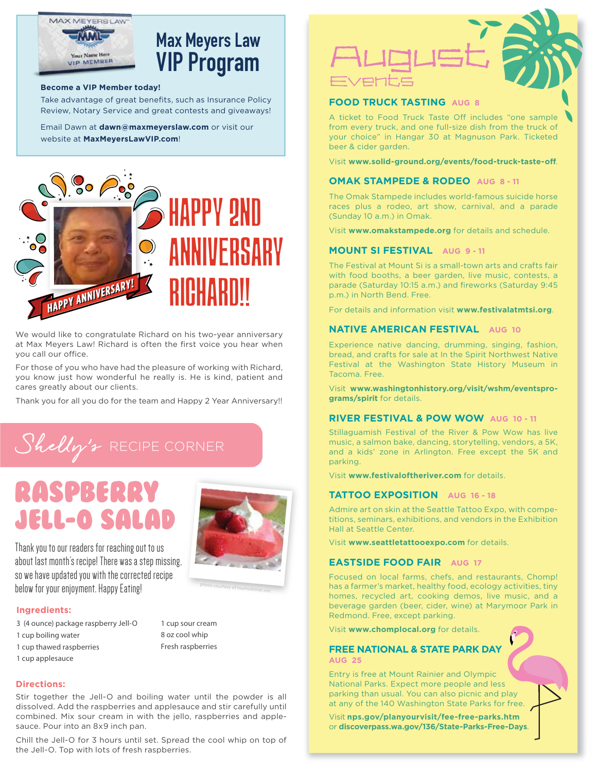

# **Max Meyers Law VIP Program**

#### **Become a VIP Member today!**

Take advantage of great benefits, such as Insurance Policy Review, Notary Service and great contests and giveaways!

Email Dawn at **dawn@maxmeyerslaw.com** or visit our website at **MaxMeyersLawVIP.com**!



We would like to congratulate Richard on his two-year anniversary at Max Meyers Law! Richard is often the first voice you hear when you call our office.

For those of you who have had the pleasure of working with Richard, you know just how wonderful he really is. He is kind, patient and cares greatly about our clients.

Thank you for all you do for the team and Happy 2 Year Anniversary!!

# Shelly's RECIPE CORNER

# Raspberry Jell-O Salad



Thank you to our readers for reaching out to us about last month's recipe! There was a step missing, so we have updated you with the corrected recipe below for your enjoyment. Happy Eating!

#### **Ingredients:**

- 3 (4 ounce) package raspberry Jell-O
- 1 cup boiling water
- 1 cup thawed raspberries
- 1 cup applesauce

1 cup sour cream 8 oz cool whip Fresh raspberries

#### **Directions:**

Stir together the Jell-O and boiling water until the powder is all dissolved. Add the raspberries and applesauce and stir carefully until combined. Mix sour cream in with the jello, raspberries and applesauce. Pour into an 8x9 inch pan.

Chill the Jell-O for 3 hours until set. Spread the cool whip on top of the Jell-O. Top with lots of fresh raspberries.



### **FOOD TRUCK TASTING AUG 8**

A ticket to Food Truck Taste Off includes "one sample from every truck, and one full-size dish from the truck of your choice" in Hangar 30 at Magnuson Park. Ticketed beer & cider garden.

Visit **www.solid-ground.org/events/food-truck-taste-o**.

### **OMAK STAMPEDE & RODEO AUG 8 - 11**

The Omak Stampede includes world-famous suicide horse races plus a rodeo, art show, carnival, and a parade (Sunday 10 a.m.) in Omak.

Visit **www.omakstampede.org** for details and schedule.

### **MOUNT SI FESTIVAL AUG 9 - 11**

The Festival at Mount Si is a small-town arts and crafts fair with food booths, a beer garden, live music, contests, a parade (Saturday 10:15 a.m.) and fireworks (Saturday 9:45 p.m.) in North Bend. Free.

For details and information visit **www.festivalatmtsi.org**.

### **NATIVE AMERICAN FESTIVAL** AUG 10

Experience native dancing, drumming, singing, fashion, bread, and crafts for sale at In the Spirit Northwest Native Festival at the Washington State History Museum in Tacoma. Free.

Visit **www.washingtonhistory.org/visit/wshm/eventsprograms/spirit** for details.

### **RIVER FESTIVAL & POW WOW AUG 10 - 11**

Stillaguamish Festival of the River & Pow Wow has live music, a salmon bake, dancing, storytelling, vendors, a 5K, and a kids' zone in Arlington. Free except the 5K and parking.

Visit **www.festivaloftheriver.com** for details.

### **TATTOO EXPOSITION AUG 16 - 18**

Admire art on skin at the Seattle Tattoo Expo, with competitions, seminars, exhibitions, and vendors in the Exhibition Hall at Seattle Center.

Visit **www.seattletattooexpo.com** for details.

### **EASTSIDE FOOD FAIR AUG 17**

Focused on local farms, chefs, and restaurants, Chomp! has a farmer's market, healthy food, ecology activities, tiny homes, recycled art, cooking demos, live music, and a beverage garden (beer, cider, wine) at Marymoor Park in Redmond. Free, except parking.

Visit **www.chomplocal.org** for details.

### **FREE NATIONAL & STATE PARK DAY AUG 25**

Entry is free at Mount Rainier and Olympic National Parks. Expect more people and less parking than usual. You can also picnic and play at any of the 140 Washington State Parks for free.

Visit **nps.gov/planyourvisit/fee-free-parks.htm** or **discoverpass.wa.gov/136/State-Parks-Free-Days**.